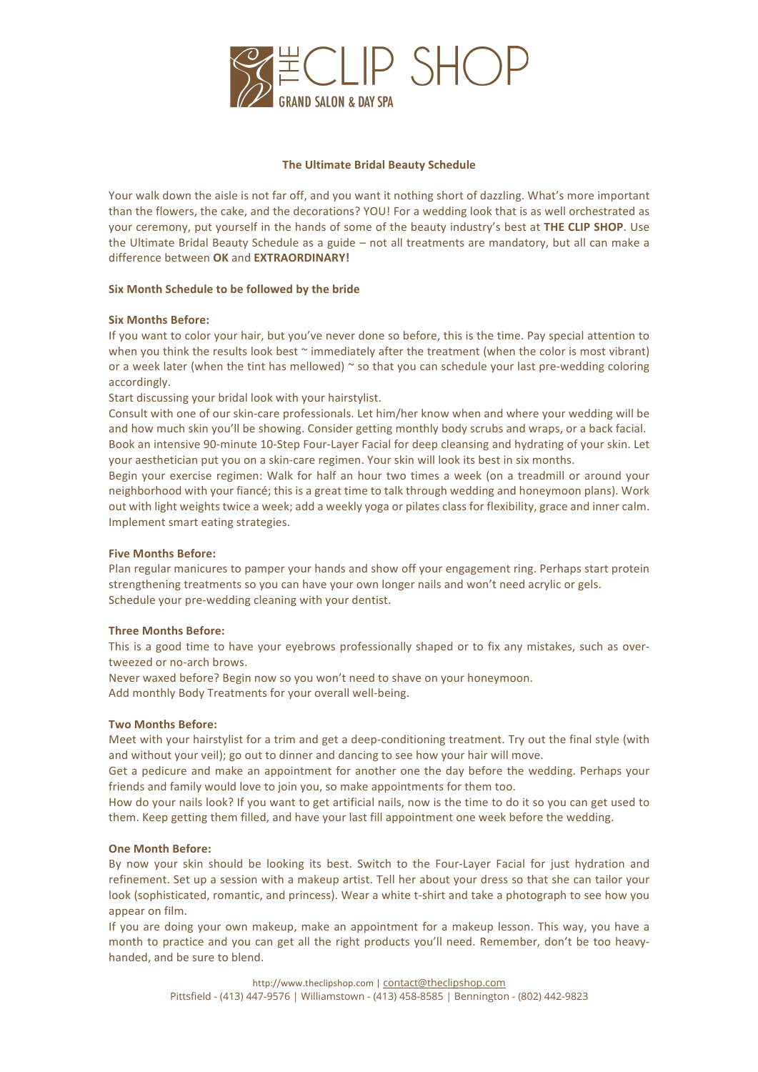

#### **The Ultimate Bridal Beauty Schedule**

Your walk down the aisle is not far off, and you want it nothing short of dazzling. What's more important than the flowers, the cake, and the decorations? YOU! For a wedding look that is as well orchestrated as your ceremony, put yourself in the hands of some of the beauty industry's best at THE CLIP SHOP. Use the Ultimate Bridal Beauty Schedule as a guide - not all treatments are mandatory, but all can make a difference between OK and **EXTRAORDINARY!** 

# **Six Month Schedule to be followed by the bride**

# **Six Months Before:**

If you want to color your hair, but you've never done so before, this is the time. Pay special attention to when you think the results look best  $\sim$  immediately after the treatment (when the color is most vibrant) or a week later (when the tint has mellowed)  $\sim$  so that you can schedule your last pre-wedding coloring accordingly. 

Start discussing your bridal look with your hairstylist.

Consult with one of our skin-care professionals. Let him/her know when and where your wedding will be and how much skin you'll be showing. Consider getting monthly body scrubs and wraps, or a back facial. Book an intensive 90-minute 10-Step Four-Layer Facial for deep cleansing and hydrating of your skin. Let your aesthetician put you on a skin-care regimen. Your skin will look its best in six months.

Begin your exercise regimen: Walk for half an hour two times a week (on a treadmill or around your neighborhood with your fiancé; this is a great time to talk through wedding and honeymoon plans). Work out with light weights twice a week; add a weekly yoga or pilates class for flexibility, grace and inner calm. Implement smart eating strategies.

# **Five Months Before:**

Plan regular manicures to pamper your hands and show off your engagement ring. Perhaps start protein strengthening treatments so you can have your own longer nails and won't need acrylic or gels. Schedule your pre-wedding cleaning with your dentist.

#### **Three Months Before:**

This is a good time to have your eyebrows professionally shaped or to fix any mistakes, such as overtweezed or no-arch brows.

Never waxed before? Begin now so you won't need to shave on your honeymoon.

Add monthly Body Treatments for your overall well-being.

# **Two Months Before:**

Meet with your hairstylist for a trim and get a deep-conditioning treatment. Try out the final style (with and without your veil); go out to dinner and dancing to see how your hair will move.

Get a pedicure and make an appointment for another one the day before the wedding. Perhaps your friends and family would love to join you, so make appointments for them too.

How do your nails look? If you want to get artificial nails, now is the time to do it so you can get used to them. Keep getting them filled, and have your last fill appointment one week before the wedding.

#### **One Month Before:**

By now your skin should be looking its best. Switch to the Four-Layer Facial for just hydration and refinement. Set up a session with a makeup artist. Tell her about your dress so that she can tailor your look (sophisticated, romantic, and princess). Wear a white t-shirt and take a photograph to see how you appear on film.

If you are doing your own makeup, make an appointment for a makeup lesson. This way, you have a month to practice and you can get all the right products you'll need. Remember, don't be too heavyhanded, and be sure to blend.